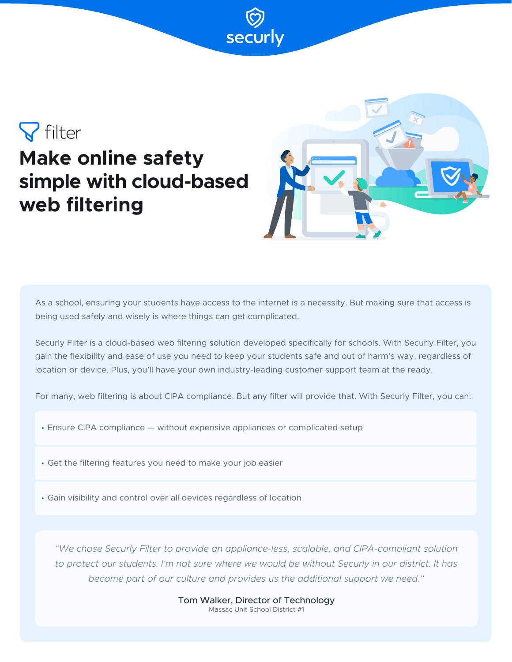# $\nabla$  filter **Make online safety simple with cloud-based web filtering**



As a school, ensuring your students have access to the internet is a necessity. But making sure that access is being used safely and wisely is where things can get complicated.

Securly Filter is a cloud-based web filtering solution developed specifically for schools. With Securly Filter, you gain the flexibility and ease of use you need to keep your students safe and out of harm's way, regardless of location or device. Plus, you'll have your own industry-leading customer support team at the ready.

For many, web filtering is about CIPA compliance. But any filter will provide that. With Securly Filter, you can:

• Ensure CIPA compliance — without expensive appliances or complicated setup

• Get the filtering features you need to make your job easier

• Gain visibility and control over all devices regardless of location

*"We chose Securly Filter to provide an appliance-less, scalable, and CIPA-compliant solution to protect our students. I'm not sure where we would be without Securly in our district. It has become part of our culture and provides us the additional support we need."*

> Tom Walker, Director of Technology Massac Unit School District #1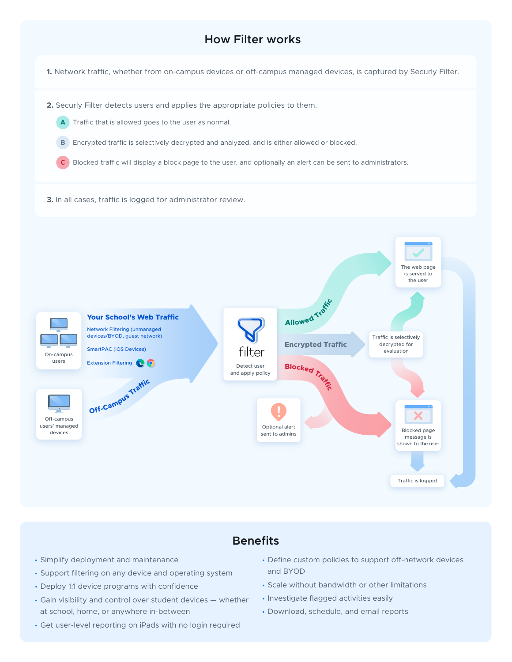## **How Filter works**

**1.** Network traffic, whether from on-campus devices or off-campus managed devices, is captured by Securly Filter.

**2.** Securly Filter detects users and applies the appropriate policies to them.



**B** Encrypted traffic is selectively decrypted and analyzed, and is either allowed or blocked.

**C** Blocked traffic will display a block page to the user, and optionally an alert can be sent to administrators.

**3.** In all cases, traffic is logged for administrator review.



## **Benefits**

- Simplify deployment and maintenance
- Support filtering on any device and operating system
- Deploy 1:1 device programs with confidence
- Gain visibility and control over student devices whether at school, home, or anywhere in-between
- Get user-level reporting on iPads with no login required
- Define custom policies to support off-network devices and BYOD
- Scale without bandwidth or other limitations
- Investigate flagged activities easily
- Download, schedule, and email reports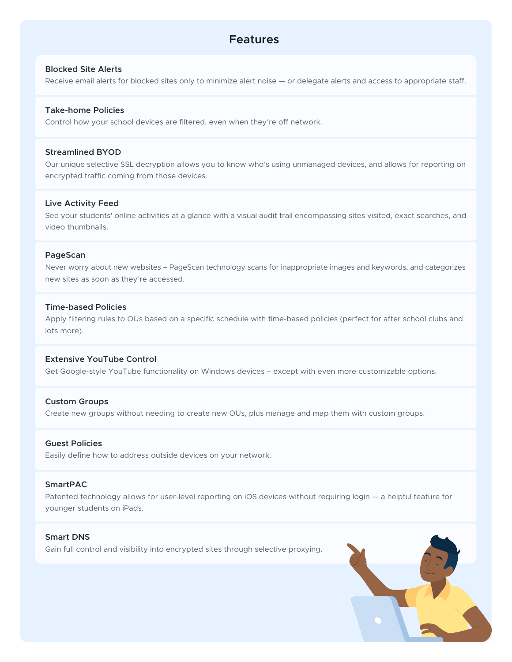## **Features**

## **Blocked Site Alerts**

Receive email alerts for blocked sites only to minimize alert noise — or delegate alerts and access to appropriate staff.

#### **Take-home Policies**

Control how your school devices are filtered, even when they're off network.

#### **Streamlined BYOD**

Our unique selective SSL decryption allows you to know who's using unmanaged devices, and allows for reporting on encrypted traffic coming from those devices.

#### **Live Activity Feed**

See your students' online activities at a glance with a visual audit trail encompassing sites visited, exact searches, and video thumbnails.

#### **PageScan**

Never worry about new websites – PageScan technology scans for inappropriate images and keywords, and categorizes new sites as soon as they're accessed.

#### **Time-based Policies**

Apply filtering rules to OUs based on a specific schedule with time-based policies (perfect for after school clubs and lots more).

#### **Extensive YouTube Control**

Get Google-style YouTube functionality on Windows devices – except with even more customizable options.

#### **Custom Groups**

Create new groups without needing to create new OUs, plus manage and map them with custom groups.

#### **Guest Policies**

Easily define how to address outside devices on your network.

### **SmartPAC**

Patented technology allows for user-level reporting on iOS devices without requiring login — a helpful feature for younger students on iPads.

## **Smart DNS**

Gain full control and visibility into encrypted sites through selective proxying.